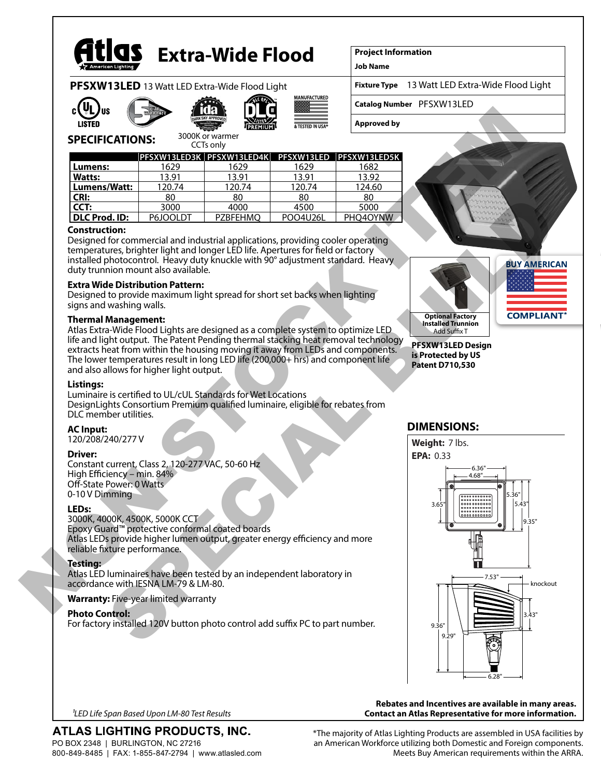

# **Extra-Wide Flood**

**Project Information**

**Job Name**

**Fixture Type PFSXW13LED** 13 Watt LED Extra-Wide Flood Light | Fixture Type 13 Watt LED Extra-Wide Flood Light

**Catalog Number** PFSXW13LED





3000K or warmer



MANUFACTURED

**Approved by**



| יכורוסוורטווויס ונכ<br><b>CCTs only</b> |        |        |        |                                                         |
|-----------------------------------------|--------|--------|--------|---------------------------------------------------------|
|                                         |        |        |        | PFSXW13LED3K   PFSXW13LED4K   PFSXW13LED   PFSXW13LED5K |
| Lumens:                                 | 1629   | 1629   | 1629   | 1682                                                    |
| <b>Watts:</b>                           | 13 91  | 13.91  | 13.91  | 13.92                                                   |
| Lumens/Watt:                            | 120.74 | 120.74 | 120.74 | 124.60                                                  |
| CRI:                                    | 80     | 80     | 80     | 80                                                      |
|                                         | 3000   | ഹല     | 4500   | 5000                                                    |

**DLC Prod. ID:** P6JOOLDT PZBFEHMO POO4U26L PHO4OYNW

# **Construction:**

Designed for commercial and industrial applications, providing cooler operating temperatures, brighter light and longer LED life. Apertures for field or factory installed photocontrol. Heavy duty knuckle with 90° adjustment standard. Heavy duty trunnion mount also available.

# **Extra Wide Distribution Pattern:**

Designed to provide maximum light spread for short set backs when lighting signs and washing walls.

#### **Thermal Management:**

Atlas Extra-Wide Flood Lights are designed as a complete system to optimize LED life and light output. The Patent Pending thermal stacking heat removal technology extracts heat from within the housing moving it away from LEDs and components. The lower temperatures result in long LED life (200,000+ hrs) and component life and also allows for higher light output.

#### **Listings:**

Luminaire is certified to UL/cUL Standards for Wet Locations DesignLights Consortium Premium qualified luminaire, eligible for rebates from DLC member utilities.

# **AC Input:**

120/208/240/277 V

# **Driver:**

Constant current, Class 2, 120-277 VAC, 50-60 Hz High Efficiency – min. 84% Off-State Power: 0 Watts 0-10 V Dimming

# **LEDs:**

3000K, 4000K, 4500K, 5000K CCT Epoxy Guard™ protective conformal coated boards Atlas LEDs provide higher lumen output, greater energy efficiency and more reliable fixture performance.

# **Testing:**

Atlas LED luminaires have been tested by an independent laboratory in accordance with IESNA LM-79 & LM-80.

# **Warranty:** Five-year limited warranty

#### **Photo Control:**

For factory installed 120V button photo control add suffix PC to part number.



# **DIMENSIONS:**



#### **Rebates and Incentives are available in many areas. Contact an Atlas Representative for more information.**

*1LED Life Span Based Upon LM-80 Test Results*

# ATLAS LIGHTING PRODUCTS, INC.

PO BOX 2348 | BURLINGTON, NC 27216 800-849-8485 | FAX: 1-855-847-2794 | www.atlasled.com \*The majority of Atlas Lighting Products are assembled in USA facilities by an American Workforce utilizing both Domestic and Foreign components. Meets Buy American requirements within the ARRA.